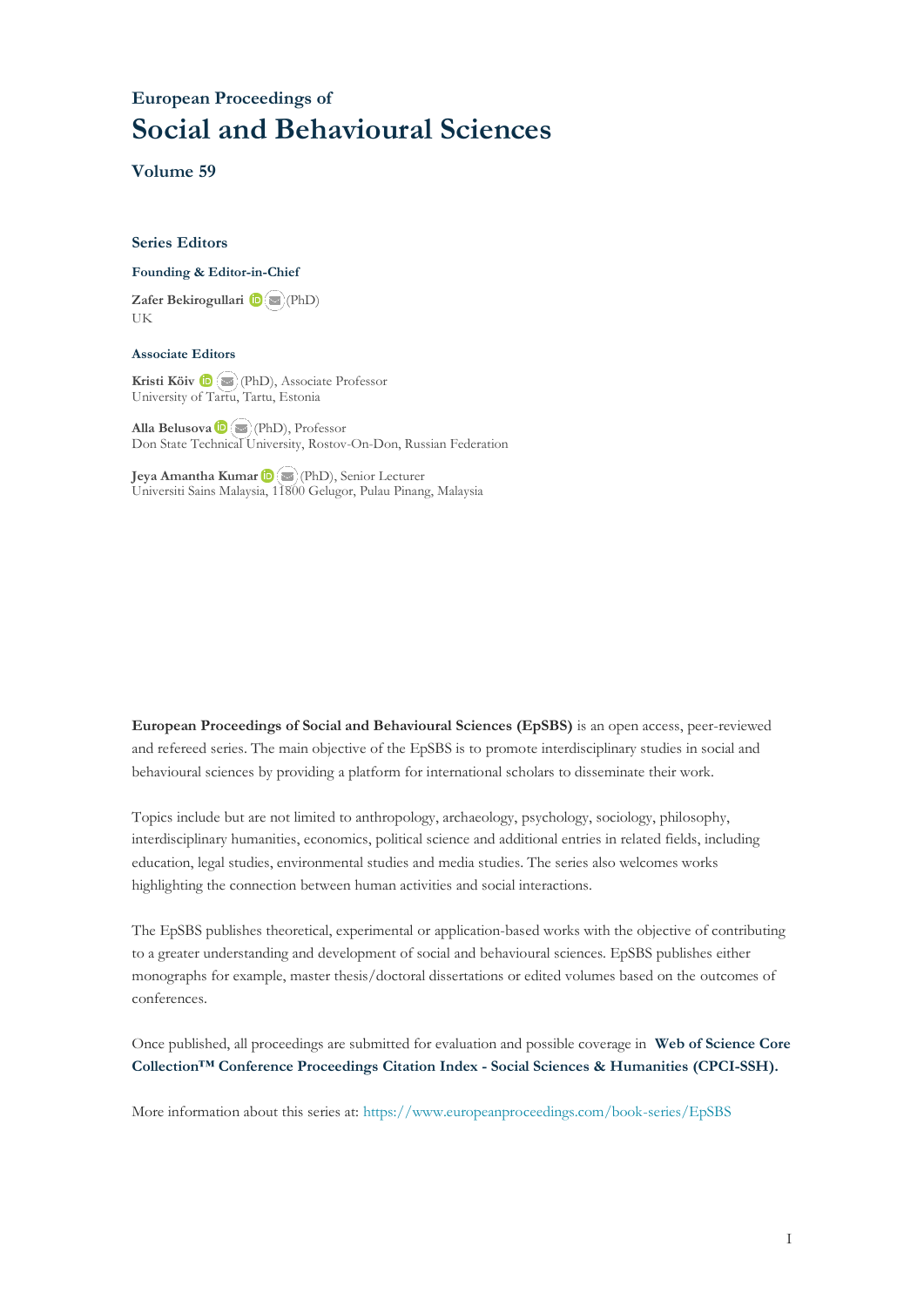# **European Proceedings of Social and Behavioural Sciences**

**Volume 59**

#### **Series Editors**

#### **Founding & Editor-in-Chief**

**Zafer Bekirogullari**(PhD) UK

#### **Associate Editors**

**Kristi Köiv** (PhD), Associate Professor University of Tartu, Tartu, Estonia

**Alla Belusova**(PhD), Professor Don State Technical University, Rostov-On-Don, Russian Federation

**Jeya Amantha Kumar**(PhD), Senior Lecturer Universiti Sains Malaysia, [1180](mailto:amantha@usm.my)0 Gelugor, Pulau Pinang, Malaysia

**European Proceedings of Social and Behavioural Sciences (EpSBS)** is an open access, peer-reviewed and refereed series. The main objective of the EpSBS is to promote interdisciplinary studies in social and behavioural sciences by providing a platform for international scholars to disseminate their work.

Topics include but are not limited to anthropology, archaeology, psychology, sociology, philosophy, interdisciplinary humanities, economics, political science and additional entries in related fields, including education, legal studies, environmental studies and media studies. The series also welcomes works highlighting the connection between human activities and social interactions.

The EpSBS publishes theoretical, experimental or application-based works with the objective of contributing to a greater understanding and development of social and behavioural sciences. EpSBS publishes either monographs for example, master thesis/doctoral dissertations or edited volumes based on the outcomes of conferences.

Once published, all proceedings are submitted for evaluation and possible coverage in **Web of [Science](https://clarivate.com/webofsciencegroup/solutions/webofscience-cpci/) Core Collection™ Conference Proceedings Citation Index - Social Sciences & Humanities [\(CPCI-SSH\).](https://clarivate.com/webofsciencegroup/solutions/webofscience-cpci/)**

More information about this series at[: https://www.europeanproceedings.com/book-series/EpSBS](https://www.europeanproceedings.com/book-series/EpSBS)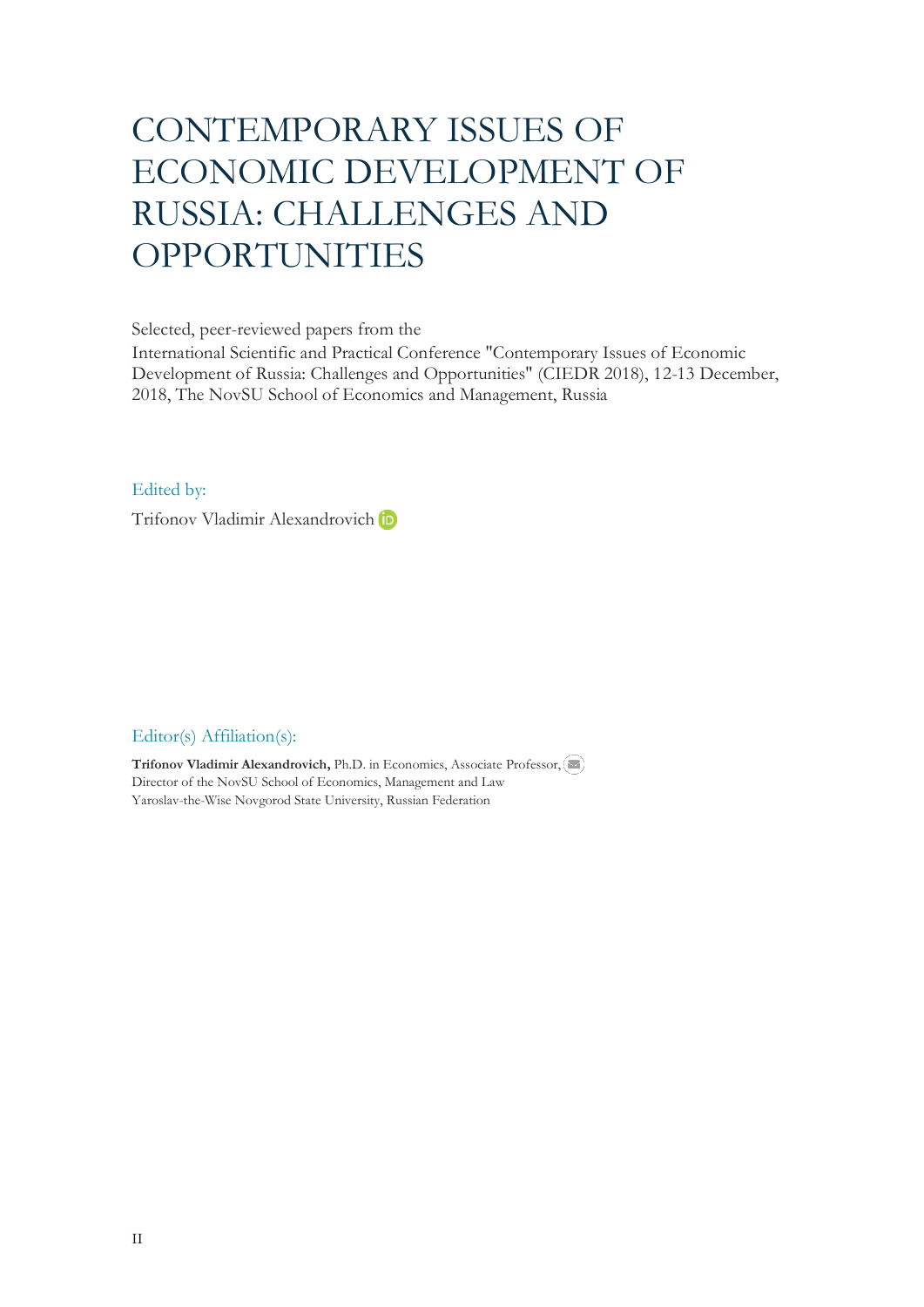# CONTEMPORARY ISSUES OF ECONOMIC DEVELOPMENT OF RUSSIA: CHALLENGES AND OPPORTUNITIES

Selected, peer-reviewed papers from the

International Scientific and Practical Conference "Contemporary Issues of Economic Development of Russia: Challenges and Opportunities" (CIEDR 2018), 12-13 December, 2018, The NovSU School of Economics and Management, Russia

Edited by:

Trifonov Vladimir Alexandrovich

# Editor(s) Affiliation(s):

**Trifonov Vladimir Alexandrovich,** Ph.D. in Economics, Associate Professor, Director of the NovSU School of Economics, Management and Law Yaroslav-the-Wise Novgorod State University, Russian Federation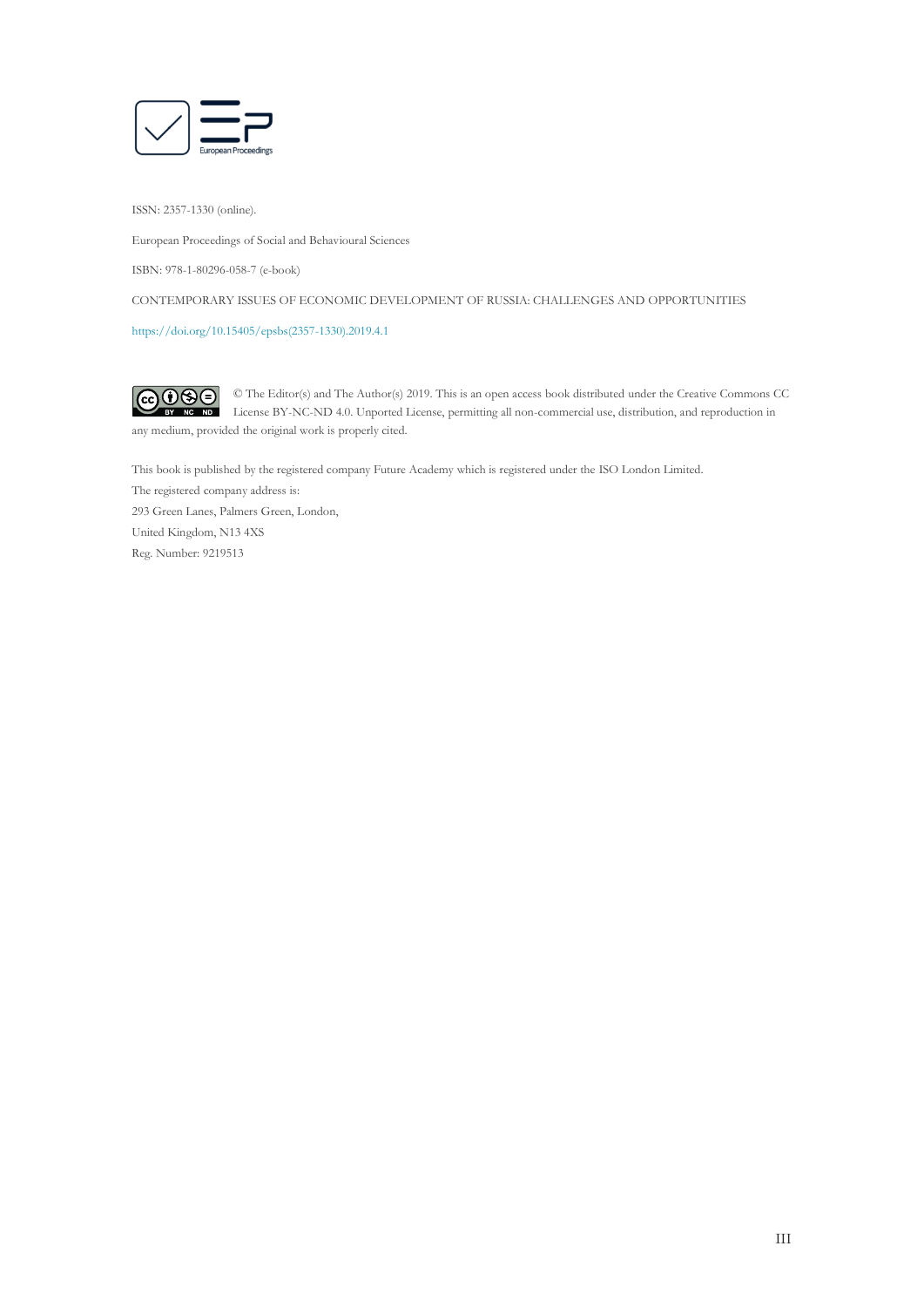

ISSN: 2357-1330 (online).

European Proceedings of Social and Behavioural Sciences

ISBN: 978-1-80296-058-7 (e-book)

CONTEMPORARY ISSUES OF ECONOMIC DEVELOPMENT OF RUSSIA: CHALLENGES AND OPPORTUNITIES

[https://doi.org/10.15405/epsbs\(2357-1330\).2019.4.1](https://doi.org/10.15405/epsbs(2357-1330).2019.4.1)

 $G \odot \odot$ © The Editor(s) and The Author(s) 2019. This is an open access book distributed under the Creative Commons CC License BY-NC-ND 4.0. Unported License, permitting all non-commercial use, distribution, and reproduction in  $\overline{ND}$ any medium, provided the original work is properly cited.

This book is published by the registered company Future Academy which is registered under the ISO London Limited. The registered company address is: 293 Green Lanes, Palmers Green, London, United Kingdom, N13 4XS Reg. Number: 9219513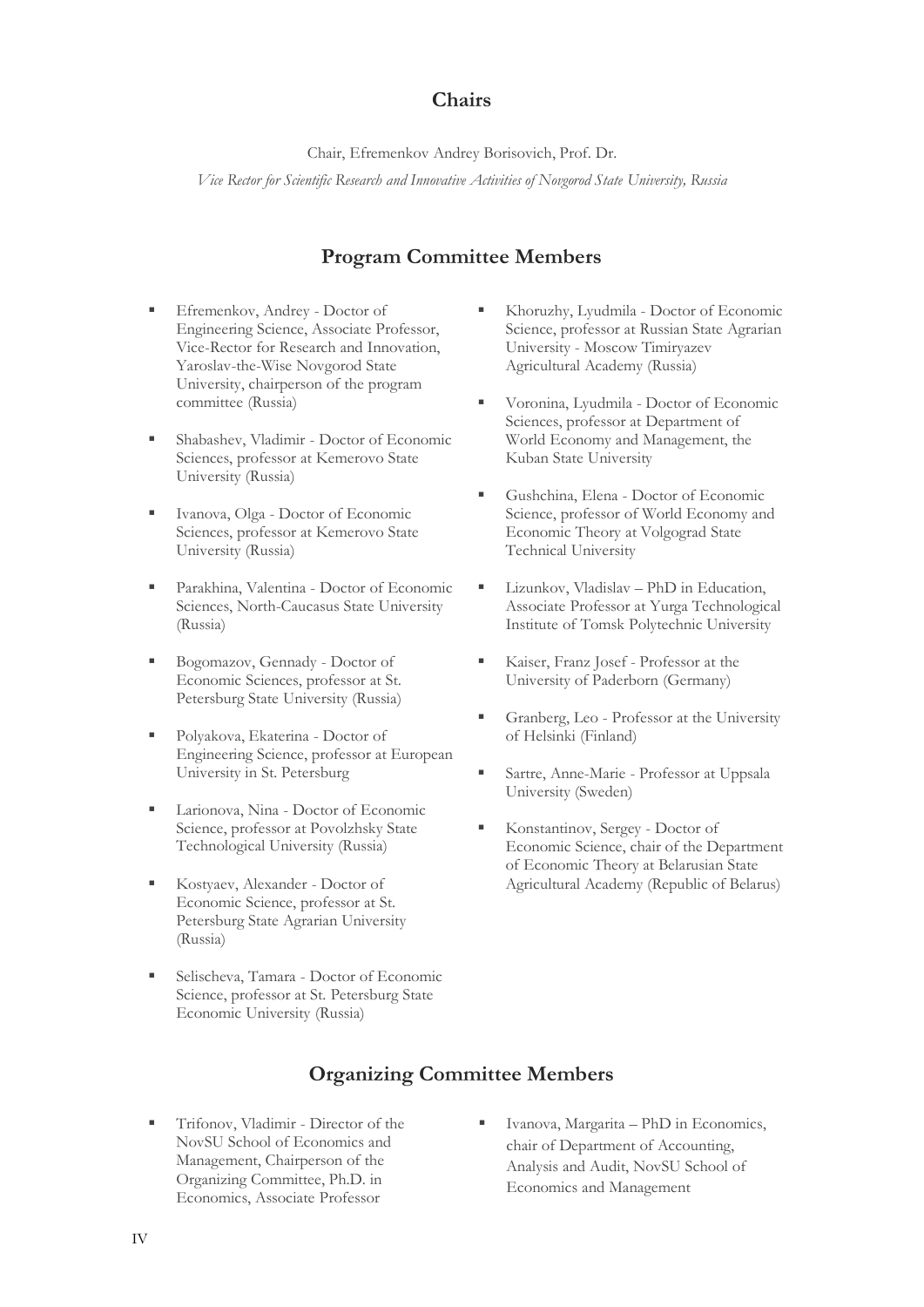# **Chairs**

Chair, Efremenkov Andrey Borisovich, Prof. Dr. *Vice Rector for Scientific Research and Innovative Activities of Novgorod State University, Russia*

# **Program Committee Members**

- Efremenkov, Andrey Doctor of Engineering Science, Associate Professor, Vice-Rector for Research and Innovation, Yaroslav-the-Wise Novgorod State University, chairperson of the program committee (Russia)
- Shabashev, Vladimir Doctor of Economic Sciences, professor at Kemerovo State University (Russia)
- Ivanova, Olga Doctor of Economic Sciences, professor at Kemerovo State University (Russia)
- Parakhina, Valentina Doctor of Economic Sciences, North-Caucasus State University (Russia)
- Bogomazov, Gennady Doctor of Economic Sciences, professor at St. Petersburg State University (Russia)
- Polyakova, Ekaterina Doctor of Engineering Science, professor at European University in St. Petersburg
- Larionova, Nina Doctor of Economic Science, professor at Povolzhsky State Technological University (Russia)
- Kostyaev, Alexander Doctor of Economic Science, professor at St. Petersburg State Agrarian University (Russia)
- Selischeva, Tamara Doctor of Economic Science, professor at St. Petersburg State Economic University (Russia)
- Khoruzhy, Lyudmila Doctor of Economic Science, professor at Russian State Agrarian University - Moscow Timiryazev Agricultural Academy (Russia)
- Voronina, Lyudmila Doctor of Economic Sciences, professor at Department of World Economy and Management, the Kuban State University
- Gushchina, Elena Doctor of Economic Science, professor of World Economy and Economic Theory at Volgograd State Technical University
- Lizunkov, Vladislav PhD in Education, Associate Professor at Yurga Technological Institute of Tomsk Polytechnic University
- Kaiser, Franz Josef Professor at the University of Paderborn (Germany)
- Granberg, Leo Professor at the University of Helsinki (Finland)
- Sartre, Anne-Marie Professor at Uppsala University (Sweden)
- Konstantinov, Sergey Doctor of Economic Science, chair of the Department of Economic Theory at Belarusian State Agricultural Academy (Republic of Belarus)

# **Organizing Committee Members**

- Trifonov, Vladimir Director of the NovSU School of Economics and Management, Chairperson of the Organizing Committee, Ph.D. in Economics, Associate Professor
- Ivanova, Margarita PhD in Economics, chair of Department of Accounting, Analysis and Audit, NovSU School of Economics and Management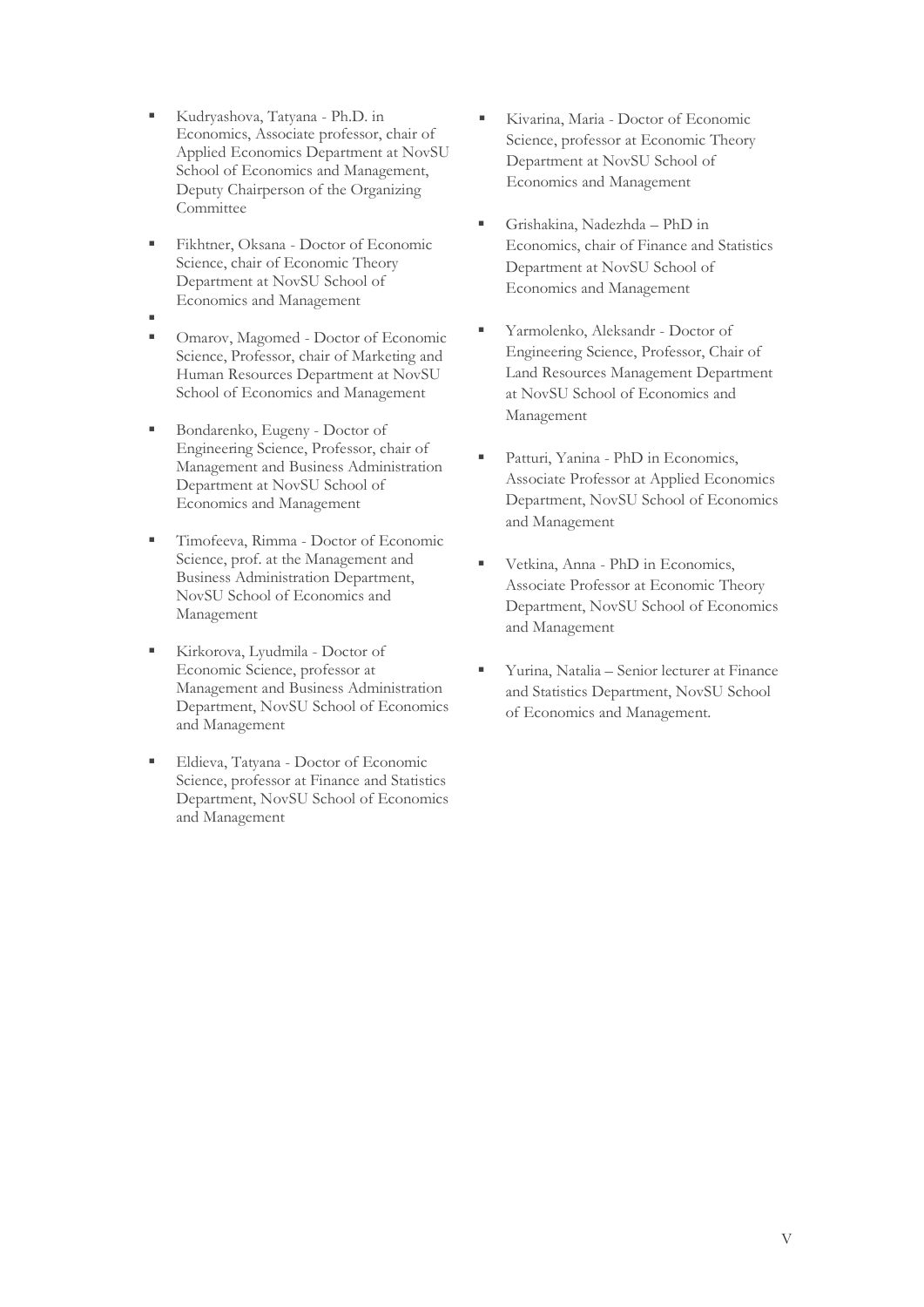- Kudryashova, Тatyana Ph.D. in Economics, Associate professor, chair of Applied Economics Department at NovSU School of Economics and Management, Deputy Chairperson of the Organizing **Committee**
- Fikhtner, Oksana Doctor of Economic Science, chair of Economic Theory Department at NovSU School of Economics and Management
- Omarov, Magomed - Doctor of Economic Science, Professor, chair of Marketing and Human Resources Department at NovSU School of Economics and Management
- Bondarenko, Eugeny Doctor of Engineering Science, Professor, chair of Management and Business Administration Department at NovSU School of Economics and Management
- Timofeeva, Rimma Doctor of Economic Science, prof. at the Management and Business Administration Department, NovSU School of Economics and Management
- Kirkorova, Lyudmila Doctor of Economic Science, professor at Management and Business Administration Department, NovSU School of Economics and Management
- Eldieva, Tatyana Doctor of Economic Science, professor at Finance and Statistics Department, NovSU School of Economics and Management
- Kivarina, Maria Doctor of Economic, Science, professor at Economic Theory Department at NovSU School of Economics and Management
- Grishakina, Nadezhda PhD in Economics, chair of Finance and Statistics Department at NovSU School of Economics and Management
- Yarmolenko, Aleksandr Doctor of Engineering Science, Professor, Chair of Land Resources Management Department at NovSU School of Economics and Management
- Patturi, Yanina PhD in Economics, Associate Professor at Applied Economics Department, NovSU School of Economics and Management
- Vetkina, Anna PhD in Economics, Associate Professor at Economic Theory Department, NovSU School of Economics and Management
- Yurina, Natalia Senior lecturer at Finance and Statistics Department, NovSU School of Economics and Management.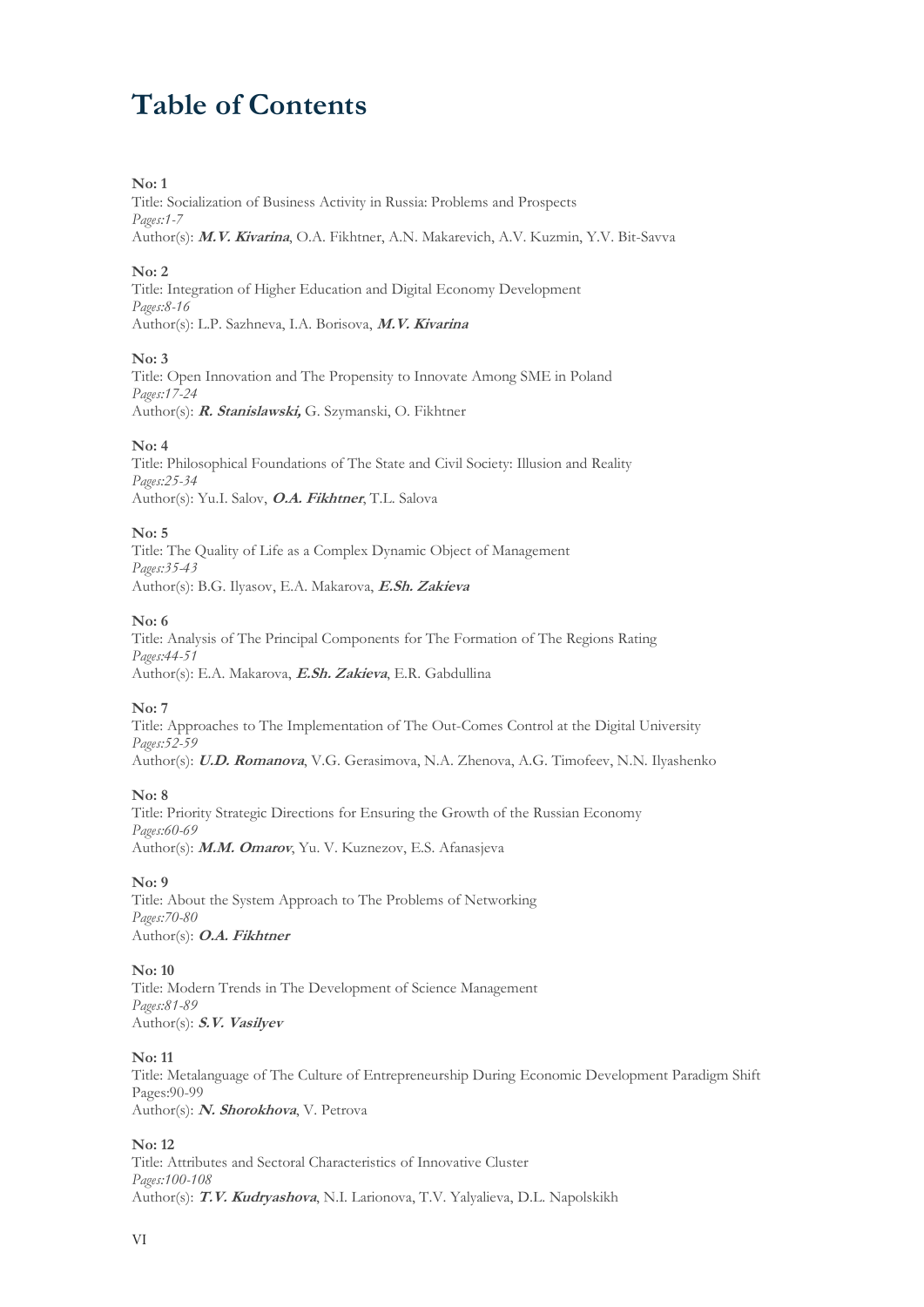# **Table of Contents**

# **No: 1**

Title: Socialization of Business Activity in Russia: Problems and Prospects *Pages:1-7*  Author(s): **M.V. Kivarina**, O.A. Fikhtner, A.N. Makarevich, A.V. Kuzmin, Y.V. Bit-Savva

# **No: 2**

Title: Integration of Higher Education and Digital Economy Development *Pages:8-16*  Author(s): L.P. Sazhneva, I.A. Borisova, **M.V. Kivarina**

#### **No: 3**

Title: Open Innovation and The Propensity to Innovate Among SME in Poland *Pages:17-24*  Author(s): **R. Stanislawski,** G. Szymanski, O. Fikhtner

# **No: 4**

Title: Philosophical Foundations of The State and Civil Society: Illusion and Reality *Pages:25-34*  Author(s): Yu.I. Salov, **O.A. Fikhtner**, T.L. Salova

#### **No: 5**

Title: The Quality of Life as a Complex Dynamic Object of Management *Pages:35-43*  Author(s): B.G. Ilyasov, E.A. Makarova, **E.Sh. Zakieva**

#### **No: 6**

Title: Analysis of The Principal Components for The Formation of The Regions Rating *Pages:44-51*  Author(s): E.A. Makarova, **E.Sh. Zakieva**, E.R. Gabdullina

# **No: 7**

Title: Approaches to The Implementation of The Out-Comes Control at the Digital University *Pages:52-59*  Author(s): **U.D. Romanova**, V.G. Gerasimova, N.A. Zhenova, A.G. Timofeev, N.N. Ilyashenko

# **No: 8**

Title: Priority Strategic Directions for Ensuring the Growth of the Russian Economy *Pages:60-69*  Author(s): **M.M. Omarov**, Yu. V. Kuznezov, E.S. Afanasjeva

# **No: 9**

Title: About the System Approach to The Problems of Networking *Pages:70-80*  Author(s): **O.A. Fikhtner**

#### **No: 10**

Title: Modern Trends in The Development of Science Management *Pages:81-89*  Author(s): **S.V. Vasilyev**

#### **No: 11**

Title: Metalanguage of The Culture of Entrepreneurship During Economic Development Paradigm Shift Pages:90-99 Author(s): **N. Shorokhova**, V. Petrova

# **No: 12**

Title: Attributes and Sectoral Characteristics of Innovative Cluster *Pages:100-108*  Author(s): **T.V. Kudryashova**, N.I. Larionova, T.V. Yalyalieva, D.L. Napolskikh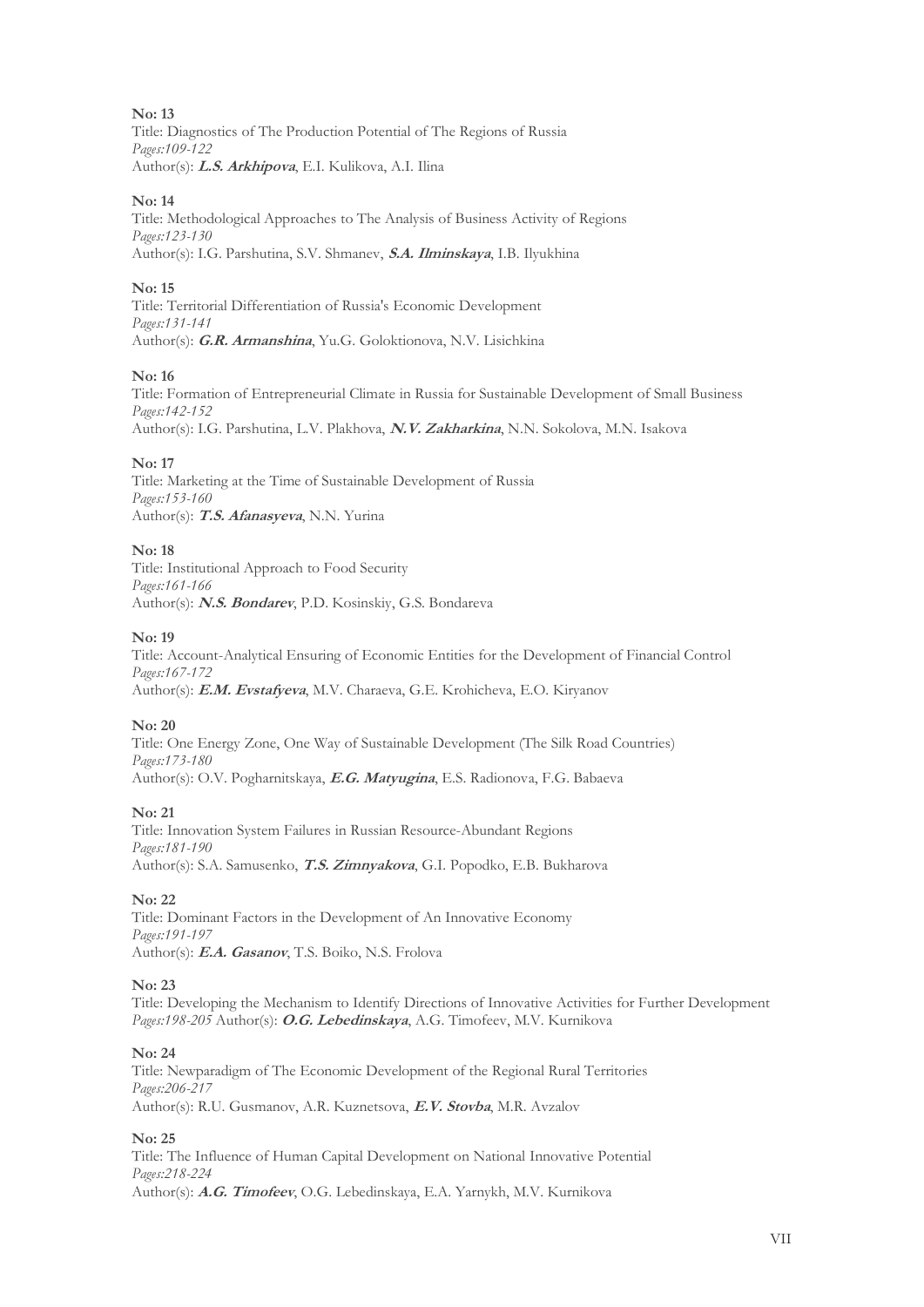**No: 13**  Title: Diagnostics of The Production Potential of The Regions of Russia *Pages:109-122*  Author(s): **L.S. Arkhipova**, E.I. Kulikova, A.I. Ilina

# **No: 14**

Title: Methodological Approaches to The Analysis of Business Activity of Regions *Pages:123-130*  Author(s): I.G. Parshutina, S.V. Shmanev, **S.A. Ilminskaya**, I.B. Ilyukhina

# **No: 15**

Title: Territorial Differentiation of Russia's Economic Development *Pages:131-141*  Author(s): **G.R. Armanshina**, Yu.G. Goloktionova, N.V. Lisichkina

#### **No: 16**

Title: Formation of Entrepreneurial Climate in Russia for Sustainable Development of Small Business *Pages:142-152*  Author(s): I.G. Parshutina, L.V. Plakhova, **N.V. Zakharkina**, N.N. Sokolova, M.N. Isakova

**No: 17** 

Title: Marketing at the Time of Sustainable Development of Russia *Pages:153-160*  Author(s): **T.S. Afanasyeva**, N.N. Yurina

# **No: 18**

Title: Institutional Approach to Food Security *Pages:161-166*  Author(s): **N.S. Bondarev**, P.D. Kosinskiy, G.S. Bondareva

# **No: 19**

Title: Account-Analytical Ensuring of Economic Entities for the Development of Financial Control *Pages:167-172*  Author(s): **E.M. Evstafyeva**, M.V. Charaeva, G.E. Krohicheva, E.O. Kiryanov

#### **No: 20**

Title: One Energy Zone, One Way of Sustainable Development (The Silk Road Countries) *Pages:173-180*  Author(s): O.V. Pogharnitskaya, **E.G. Matyugina**, E.S. Radionova, F.G. Babaeva

# **No: 21**

Title: Innovation System Failures in Russian Resource-Abundant Regions *Pages:181-190*  Author(s): S.A. Samusenko, **T.S. Zimnyakova**, G.I. Popodko, E.B. Bukharova

**No: 22** 

Title: Dominant Factors in the Development of An Innovative Economy *Pages:191-197*  Author(s): **E.A. Gasanov**, T.S. Boiko, N.S. Frolova

#### **No: 23**

Title: Developing the Mechanism to Identify Directions of Innovative Activities for Further Development *Pages:198-205* Author(s): **O.G. Lebedinskaya**, A.G. Timofeev, M.V. Kurnikova

#### **No: 24**

Title: Newparadigm of The Economic Development of the Regional Rural Territories *Pages:206-217*  Author(s): R.U. Gusmanov, A.R. Kuznetsova, **E.V. Stovba**, M.R. Avzalov

#### **No: 25**

Title: The Influence of Human Capital Development on National Innovative Potential *Pages:218-224*  Author(s): **A.G. Timofeev**, O.G. Lebedinskaya, E.A. Yarnykh, M.V. Kurnikova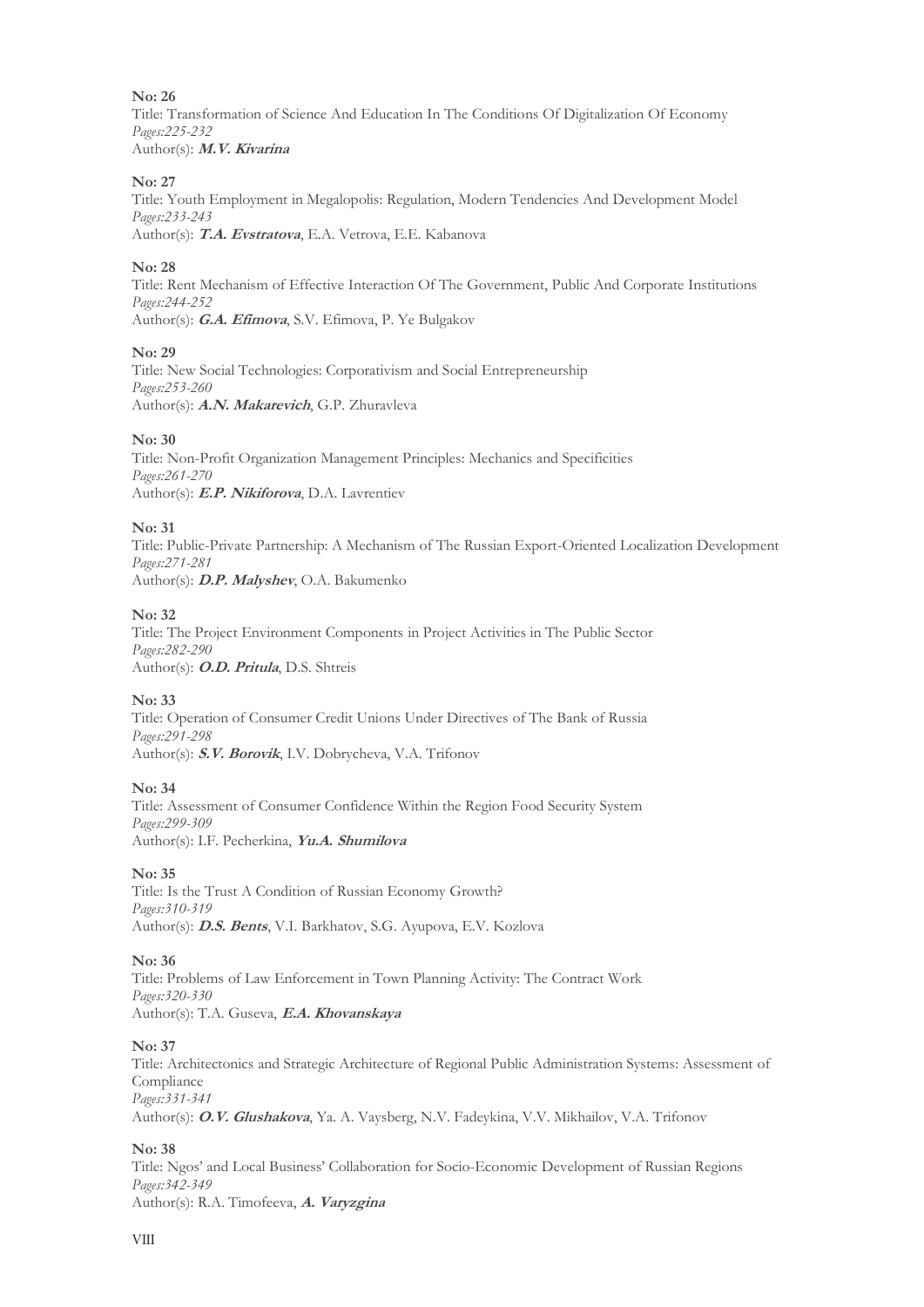Title: Transformation of Science And Education In The Conditions Of Digitalization Of Economy *Pages:225-232*  Author(s): **M.V. Kivarina** 

# **No: 27**

Title: Youth Employment in Megalopolis: Regulation, Modern Tendencies And Development Model *Pages:233-243*  Author(s): **T.A. Evstratova**, E.A. Vetrova, E.E. Kabanova

#### **No: 28**

Title: Rent Mechanism of Effective Interaction Of The Government, Public And Corporate Institutions *Pages:244-252*  Author(s): **G.A. Efimova**, S.V. Efimova, P. Ye Bulgakov

#### **No: 29**

Title: New Social Technologies: Corporativism and Social Entrepreneurship *Pages:253-260*  Author(s): **A.N. Makarevich**, G.P. Zhuravleva

#### **No: 30**

Title: Non-Profit Organization Management Principles: Mechanics and Specificities *Pages:261-270*  Author(s): **E.P. Nikiforova**, D.A. Lavrentiev

#### **No: 31**

Title: Public-Private Partnership: A Mechanism of The Russian Export-Oriented Localization Development *Pages:271-281*  Author(s): **D.P. Malyshev**, O.A. Bakumenko

#### **No: 32**

Title: The Project Environment Components in Project Activities in The Public Sector *Pages:282-290*  Author(s): **O.D. Pritula**, D.S. Shtreis

#### **No: 33**

Title: Operation of Consumer Credit Unions Under Directives of The Bank of Russia *Pages:291-298*  Author(s): **S.V. Borovik**, I.V. Dobrycheva, V.A. Trifonov

#### **No: 34**

Title: Assessment of Consumer Confidence Within the Region Food Security System *Pages:299-309*  Author(s): I.F. Pecherkina, **Yu.A. Shumilova**

# **No: 35**

Title: Is the Trust A Condition of Russian Economy Growth? *Pages:310-319*  Author(s): **D.S. Bents**, V.I. Barkhatov, S.G. Ayupova, E.V. Kozlova

**No: 36** 

Title: Problems of Law Enforcement in Town Planning Activity: The Contract Work *Pages:320-330*  Author(s): T.A. Guseva, **E.A. Khovanskaya**

#### **No: 37**

Title: Architectonics and Strategic Architecture of Regional Public Administration Systems: Assessment of Compliance *Pages:331-341*  Author(s): **O.V. Glushakova**, Ya. A. Vaysberg, N.V. Fadeykina, V.V. Mikhailov, V.A. Trifonov

#### **No: 38**

Title: Ngos' and Local Business' Collaboration for Socio-Economic Development of Russian Regions *Pages:342-349*  Author(s): R.A. Timofeeva, **A. Varyzgina**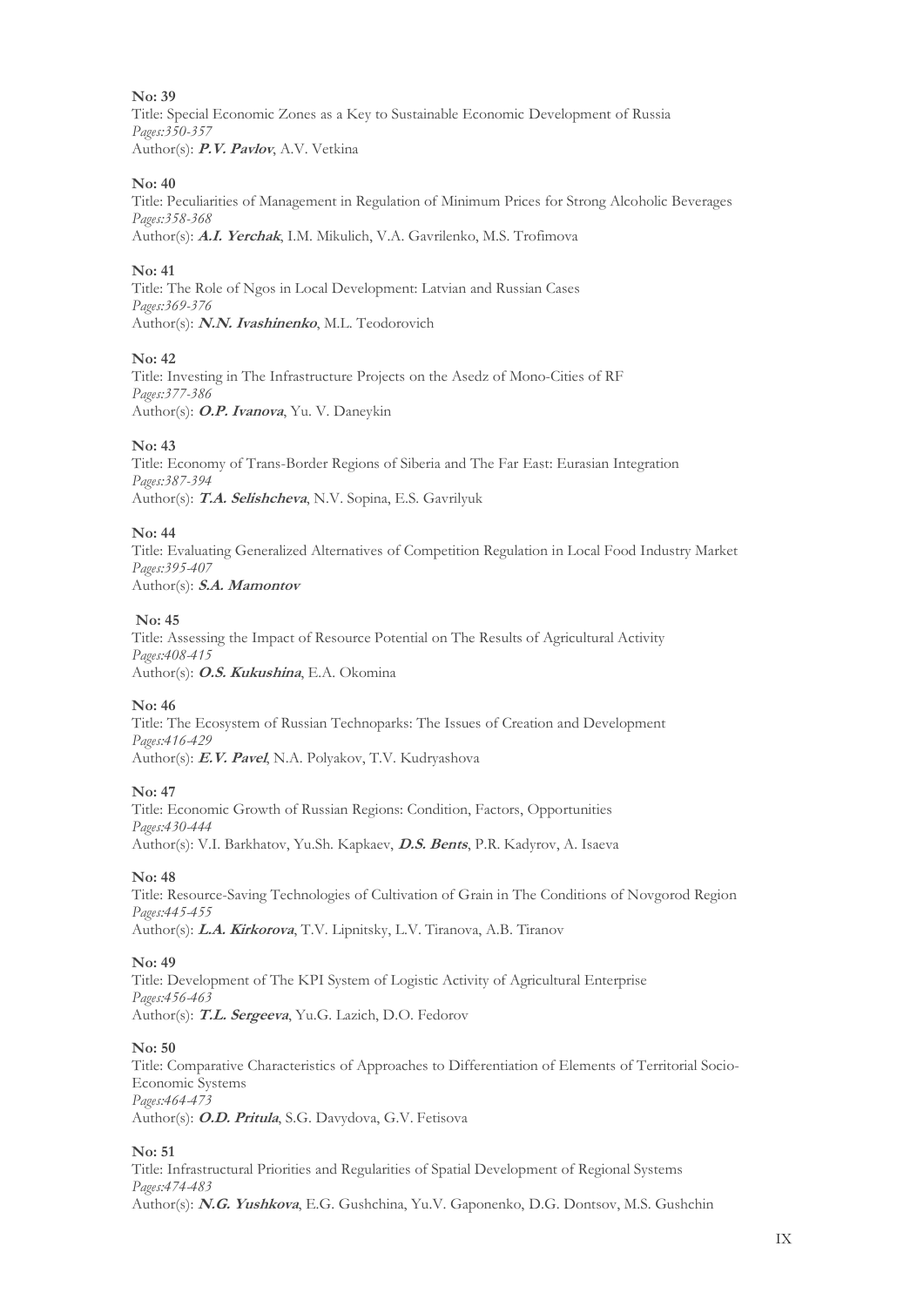Title: Special Economic Zones as a Key to Sustainable Economic Development of Russia *Pages:350-357*  Author(s): **P.V. Pavlov**, A.V. Vetkina

#### **No: 40**

Title: Peculiarities of Management in Regulation of Minimum Prices for Strong Alcoholic Beverages *Pages:358-368*  Author(s): **A.I. Yerchak**, I.M. Mikulich, V.A. Gavrilenko, M.S. Trofimova

# **No: 41**

Title: The Role of Ngos in Local Development: Latvian and Russian Cases *Pages:369-376*  Author(s): **N.N. Ivashinenko**, M.L. Teodorovich

#### **No: 42**

Title: Investing in The Infrastructure Projects on the Asedz of Mono-Cities of RF *Pages:377-386*  Author(s): **O.P. Ivanova**, Yu. V. Daneykin

#### **No: 43**

Title: Economy of Trans-Border Regions of Siberia and The Far East: Eurasian Integration *Pages:387-394*  Author(s): **T.A. Selishcheva**, N.V. Sopina, E.S. Gavrilyuk

#### **No: 44**

Title: Evaluating Generalized Alternatives of Competition Regulation in Local Food Industry Market *Pages:395-407*  Author(s): **S.A. Mamontov**

# **No: 45**

Title: Assessing the Impact of Resource Potential on The Results of Agricultural Activity *Pages:408-415*  Author(s): **O.S. Kukushina**, E.A. Okomina

# **No: 46**

Title: The Ecosystem of Russian Technoparks: The Issues of Creation and Development *Pages:416-429*  Author(s): **E.V. Pavel**, N.A. Polyakov, T.V. Kudryashova

# **No: 47**

Title: Economic Growth of Russian Regions: Condition, Factors, Opportunities *Pages:430-444*  Author(s): V.I. Barkhatov, Yu.Sh. Kapkaev, **D.S. Bents**, P.R. Kadyrov, A. Isaeva

# **No: 48**

Title: Resource-Saving Technologies of Cultivation of Grain in The Conditions of Novgorod Region *Pages:445-455*  Author(s): **L.A. Kirkorova**, T.V. Lipnitsky, L.V. Tiranova, A.B. Tiranov

#### **No: 49**

Title: Development of The KPI System of Logistic Activity of Agricultural Enterprise *Pages:456-463*  Author(s): **T.L. Sergeeva**, Yu.G. Lazich, D.O. Fedorov

#### **No: 50**

Title: Comparative Characteristics of Approaches to Differentiation of Elements of Territorial Socio-Economic Systems *Pages:464-473*  Author(s): **O.D. Pritula**, S.G. Davydova, G.V. Fetisova

#### **No: 51**

Title: Infrastructural Priorities and Regularities of Spatial Development of Regional Systems *Pages:474-483*  Author(s): **N.G. Yushkova**, E.G. Gushchina, Yu.V. Gaponenko, D.G. Dontsov, M.S. Gushchin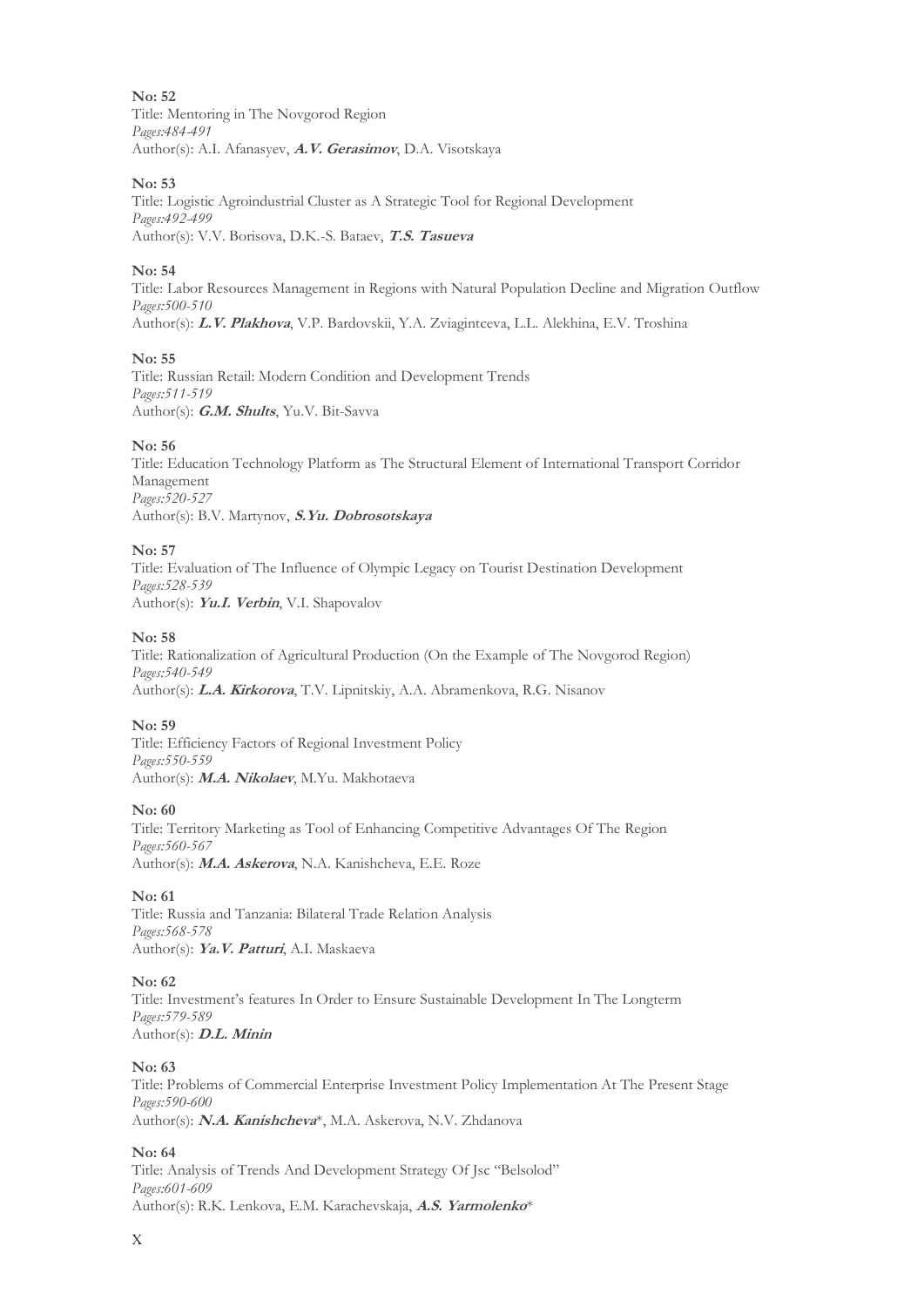Title: Mentoring in The Novgorod Region *Pages:484-491*  Author(s): A.I. Afanasyev, **A.V. Gerasimov**, D.A. Visotskaya

#### **No: 53**

Title: Logistic Agroindustrial Cluster as A Strategic Tool for Regional Development *Pages:492-499*  Author(s): V.V. Borisova, D.K.-S. Bataev, **T.S. Tasueva**

# **No: 54**

Title: Labor Resources Management in Regions with Natural Population Decline and Migration Outflow *Pages:500-510*  Author(s): **L.V. Plakhova**, V.P. Bardovskii, Y.A. Zviagintceva, L.L. Alekhina, E.V. Troshina

#### **No: 55**

Title: Russian Retail: Modern Condition and Development Trends *Pages:511-519*  Author(s): **G.M. Shults**, Yu.V. Bit-Savva

#### **No: 56**

Title: Education Technology Platform as The Structural Element of International Transport Corridor Management *Pages:520-527*  Author(s): B.V. Martynov, **S.Yu. Dobrosotskaya**

#### **No: 57**

Title: Evaluation of The Influence of Olympic Legacy on Tourist Destination Development *Pages:528-539*  Author(s): **Yu.I. Verbin**, V.I. Shapovalov

#### **No: 58**

Title: Rationalization of Agricultural Production (On the Example of The Novgorod Region) *Pages:540-549*  Author(s): **L.A. Kirkorova**, T.V. Lipnitskiy, A.A. Abramenkova, R.G. Nisanov

#### **No: 59**

Title: Efficiency Factors of Regional Investment Policy *Pages:550-559*  Author(s): **M.A. Nikolaev**, M.Yu. Makhotaeva

#### **No: 60**

Title: Territory Marketing as Tool of Enhancing Competitive Advantages Of The Region *Pages:560-567*  Author(s): **M.A. Askerova**, N.A. Kanishcheva, E.E. Roze

# **No: 61**

Title: Russia and Tanzania: Bilateral Trade Relation Analysis *Pages:568-578*  Author(s): **Ya.V. Patturi**, A.I. Maskaeva

# **No: 62**

Title: Investment's features In Order to Ensure Sustainable Development In The Longterm *Pages:579-589*  Author(s): **D.L. Minin**

#### **No: 63**

Title: Problems of Commercial Enterprise Investment Policy Implementation At The Present Stage *Pages:590-600*  Author(s): **N.A. Kanishcheva**\*, M.A. Askerova, N.V. Zhdanova

#### **No: 64**

Title: Analysis of Trends And Development Strategy Of Jsc "Belsolod" *Pages:601-609*  Author(s): R.K. Lenkova, E.M. Karachevskaja, **A.S. Yarmolenko**\*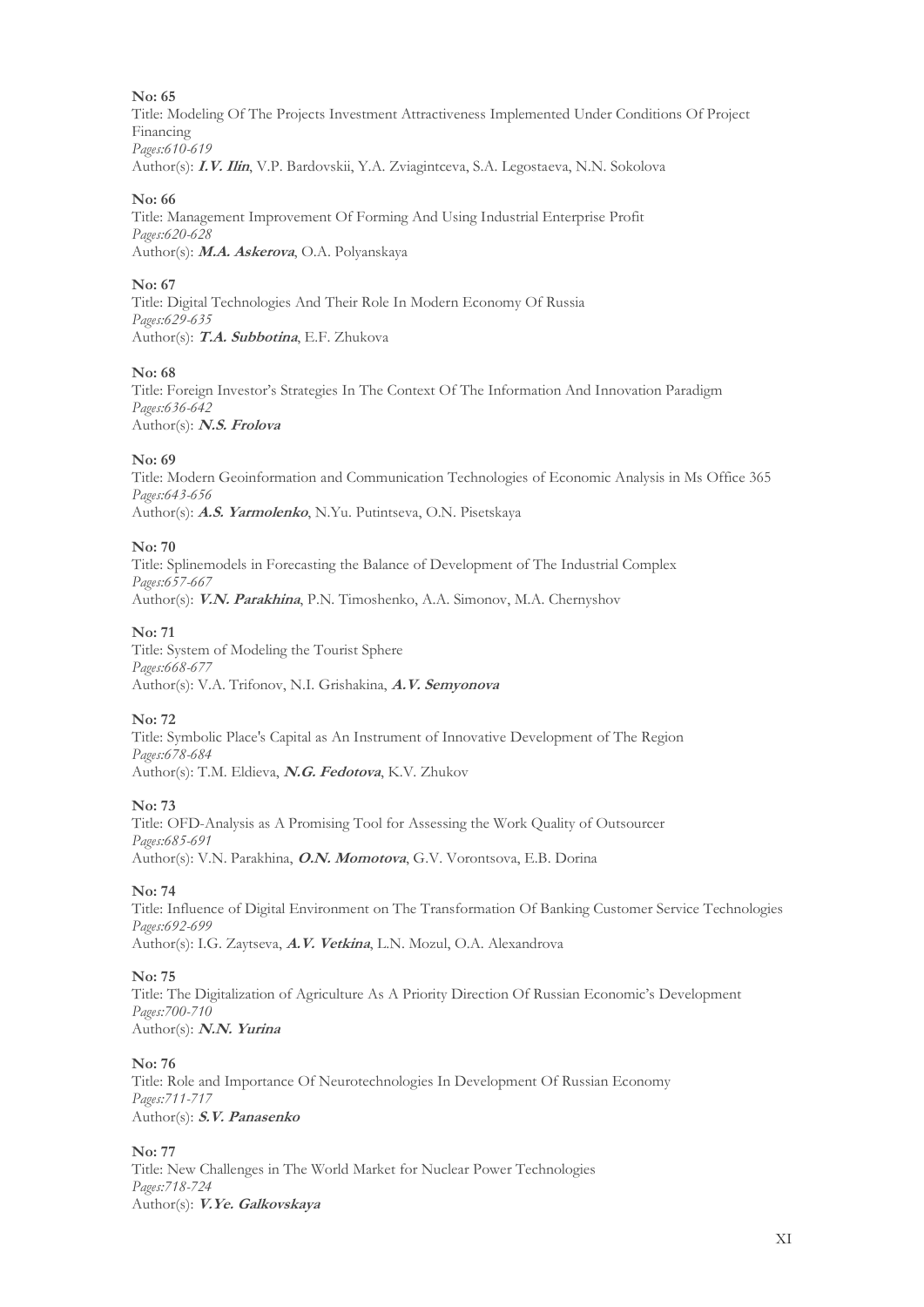Title: Modeling Of The Projects Investment Attractiveness Implemented Under Conditions Of Project Financing *Pages:610-619*  Author(s): **I.V. Ilin**, V.P. Bardovskii, Y.A. Zviagintceva, S.A. Legostaeva, N.N. Sokolova

#### **No: 66**

Title: Management Improvement Of Forming And Using Industrial Enterprise Profit *Pages:620-628*  Author(s): **M.A. Askerova**, O.A. Polyanskaya

#### **No: 67**

Title: Digital Technologies And Their Role In Modern Economy Of Russia *Pages:629-635*  Author(s): **T.A. Subbotina**, E.F. Zhukova

#### **No: 68**

Title: Foreign Investor's Strategies In The Context Of The Information And Innovation Paradigm *Pages:636-642*  Author(s): **N.S. Frolova**

#### **No: 69**

Title: Modern Geoinformation and Communication Technologies of Economic Analysis in Ms Office 365 *Pages:643-656*  Author(s): **A.S. Yarmolenko**, N.Yu. Putintseva, O.N. Pisetskaya

#### **No: 70**

Title: Splinemodels in Forecasting the Balance of Development of The Industrial Complex *Pages:657-667*  Author(s): **V.N. Parakhina**, P.N. Timoshenko, A.A. Simonov, M.A. Chernyshov

#### **No: 71**

Title: System of Modeling the Tourist Sphere *Pages:668-677*  Author(s): V.A. Trifonov, N.I. Grishakina, **A.V. Semyonova**

#### **No: 72**

Title: Symbolic Place's Capital as An Instrument of Innovative Development of The Region *Pages:678-684*  Author(s): T.M. Eldieva, **N.G. Fedotova**, K.V. Zhukov

#### **No: 73**

Title: OFD-Analysis as A Promising Tool for Assessing the Work Quality of Outsourcer *Pages:685-691*  Author(s): V.N. Parakhina, **O.N. Momotova**, G.V. Vorontsova, E.B. Dorina

#### **No: 74**

Title: Influence of Digital Environment on The Transformation Of Banking Customer Service Technologies *Pages:692-699*  Author(s): I.G. Zaytseva, **A.V. Vetkina**, L.N. Mozul, O.A. Alexandrova

# **No: 75**

Title: The Digitalization of Agriculture As A Priority Direction Of Russian Economic's Development *Pages:700-710*  Author(s): **N.N. Yurina**

#### **No: 76**

Title: Role and Importance Of Neurotechnologies In Development Of Russian Economy *Pages:711-717*  Author(s): **S.V. Panasenko**

#### **No: 77**

Title: New Challenges in The World Market for Nuclear Power Technologies *Pages:718-724*  Author(s): **V.Ye. Galkovskaya**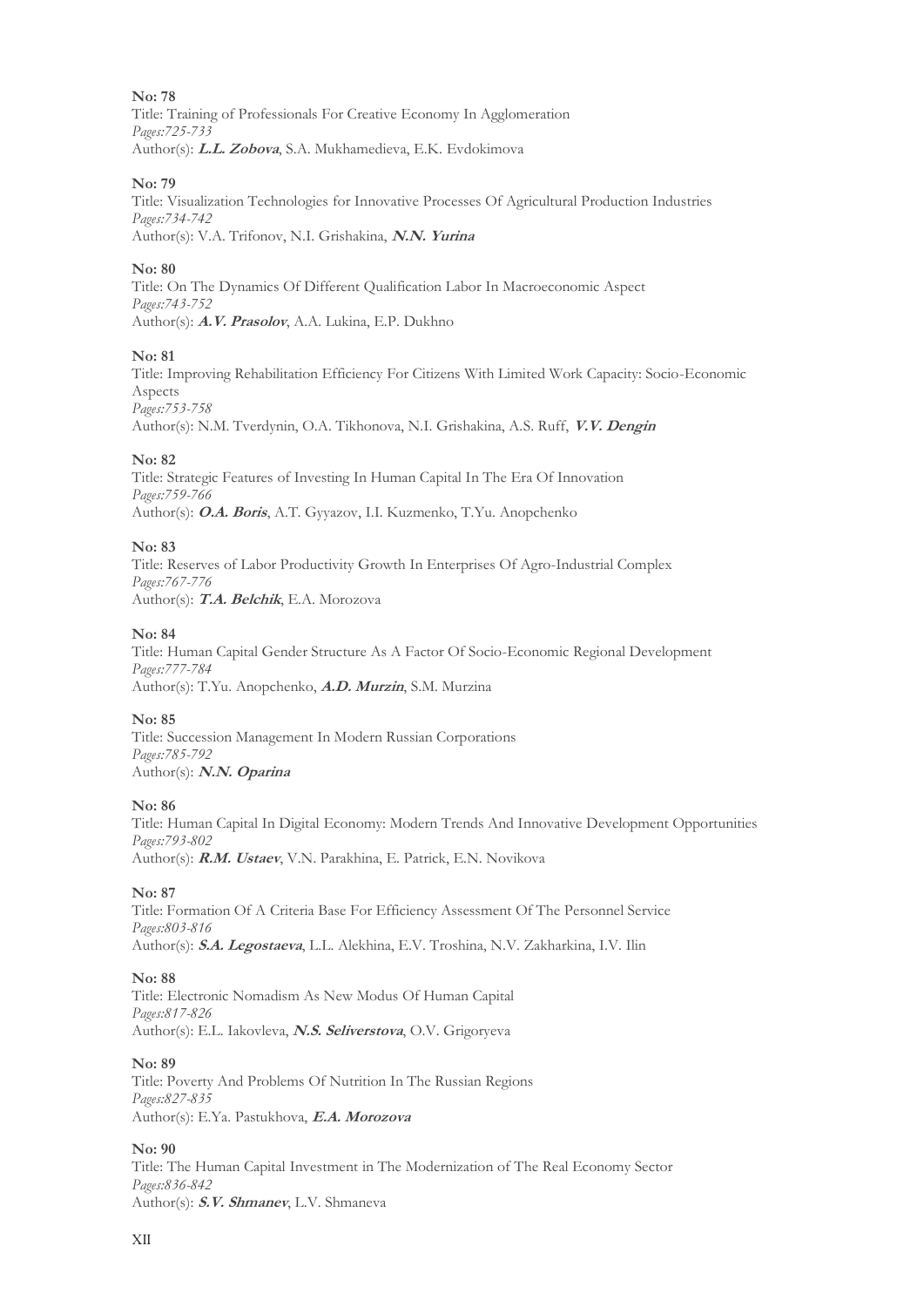Title: Training of Professionals For Creative Economy In Agglomeration *Pages:725-733*  Author(s): **L.L. Zobova**, S.A. Mukhamedieva, E.K. Evdokimova

# **No: 79**

Title: Visualization Technologies for Innovative Processes Of Agricultural Production Industries *Pages:734-742*  Author(s): V.A. Trifonov, N.I. Grishakina, **N.N. Yurina**

# **No: 80**

Title: On The Dynamics Of Different Qualification Labor In Macroeconomic Aspect *Pages:743-752*  Author(s): **A.V. Prasolov**, A.A. Lukina, E.P. Dukhno

# **No: 81**

Title: Improving Rehabilitation Efficiency For Citizens With Limited Work Capacity: Socio-Economic Aspects *Pages:753-758* 

Author(s): N.M. Tverdynin, O.A. Tikhonova, N.I. Grishakina, A.S. Ruff, **V.V. Dengin**

#### **No: 82**

Title: Strategic Features of Investing In Human Capital In The Era Of Innovation *Pages:759-766*  Author(s): **O.A. Boris**, A.T. Gyyazov, I.I. Kuzmenko, T.Yu. Anopchenko

#### **No: 83**

Title: Reserves of Labor Productivity Growth In Enterprises Of Agro-Industrial Complex *Pages:767-776*  Author(s): **T.A. Belchik**, E.A. Morozova

#### **No: 84**

Title: Human Capital Gender Structure As A Factor Of Socio-Economic Regional Development *Pages:777-784*  Author(s): T.Yu. Anopchenko, **A.D. Murzin**, S.M. Murzina

#### **No: 85**

Title: Succession Management In Modern Russian Corporations *Pages:785-792*  Author(s): **N.N. Oparina**

#### **No: 86**

Title: Human Capital In Digital Economy: Modern Trends And Innovative Development Opportunities *Pages:793-802*  Author(s): **R.M. Ustaev**, V.N. Parakhina, E. Patrick, E.N. Novikova

#### **No: 87**

Title: Formation Of A Criteria Base For Efficiency Assessment Of The Personnel Service *Pages:803-816*  Author(s): **S.A. Legostaeva**, L.L. Alekhina, E.V. Troshina, N.V. Zakharkina, I.V. Ilin

# **No: 88**

Title: Electronic Nomadism As New Modus Of Human Capital *Pages:817-826*  Author(s): E.L. Iakovleva, **N.S. Seliverstova**, O.V. Grigoryeva

**No: 89** 

Title: Poverty And Problems Of Nutrition In The Russian Regions *Pages:827-835*  Author(s): E.Ya. Pastukhova, **E.A. Morozova**

#### **No: 90**

Title: The Human Capital Investment in The Modernization of The Real Economy Sector *Pages:836-842*  Author(s): **S.V. Shmanev**, L.V. Shmaneva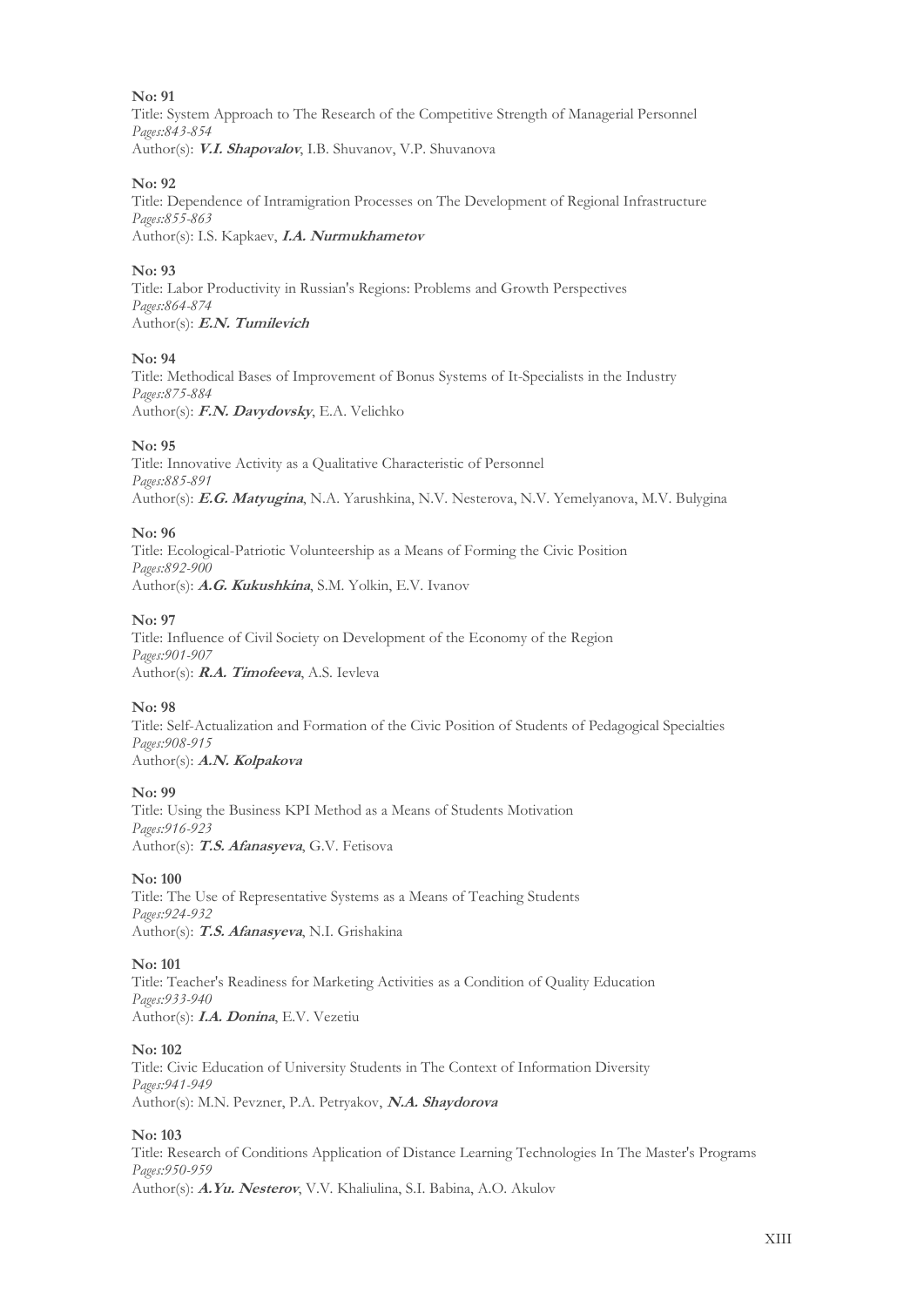Title: System Approach to The Research of the Competitive Strength of Managerial Personnel *Pages:843-854*  Author(s): **V.I. Shapovalov**, I.B. Shuvanov, V.P. Shuvanova

#### **No: 92**

Title: Dependence of Intramigration Processes on The Development of Regional Infrastructure *Pages:855-863*  Author(s): I.S. Kapkaev, **I.A. Nurmukhametov**

# **No: 93**

Title: Labor Productivity in Russian's Regions: Problems and Growth Perspectives *Pages:864-874*  Author(s): **E.N. Tumilevich**

#### **No: 94**

Title: Methodical Bases of Improvement of Bonus Systems of It-Specialists in the Industry *Pages:875-884*  Author(s): **F.N. Davydovsky**, E.A. Velichko

#### **No: 95**

Title: Innovative Activity as a Qualitative Characteristic of Personnel *Pages:885-891*  Author(s): **E.G. Matyugina**, N.A. Yarushkina, N.V. Nesterova, N.V. Yemelyanova, M.V. Bulygina

#### **No: 96**

Title: Ecological-Patriotic Volunteership as a Means of Forming the Civiс Position *Pages:892-900*  Author(s): **A.G. Kukushkina**, S.M. Yolkin, E.V. Ivanov

#### **No: 97**

Title: Influence of Civil Society on Development of the Economy of the Region *Pages:901-907*  Author(s): **R.A. Timofeeva**, A.S. Ievleva

# **No: 98**

Title: Self-Actualization and Formation of the Civiс Position of Students of Pedagogical Specialties *Pages:908-915*  Author(s): **A.N. Kolpakova**

#### **No: 99**

Title: Using the Business KPI Method as a Means of Students Motivation *Pages:916-923*  Author(s): **T.S. Afanasyeva**, G.V. Fetisova

#### **No: 100**

Title: The Use of Representative Systems as a Means of Teaching Students *Pages:924-932*  Author(s): **T.S. Afanasyeva**, N.I. Grishakina

#### **No: 101**

Title: Teacher's Readiness for Marketing Activities as a Condition of Quality Education *Pages:933-940*  Author(s): **I.A. Donina**, E.V. Vezetiu

#### **No: 102**

Title: Civic Education of University Students in The Context of Information Diversity *Pages:941-949*  Author(s): M.N. Pevzner, P.A. Petryakov, **N.A. Shaydorova**

#### **No: 103**

Title: Research of Conditions Application of Distance Learning Technologies In The Master's Programs *Pages:950-959*  Author(s): **A.Yu. Nesterov**, V.V. Khaliulina, S.I. Babina, A.O. Akulov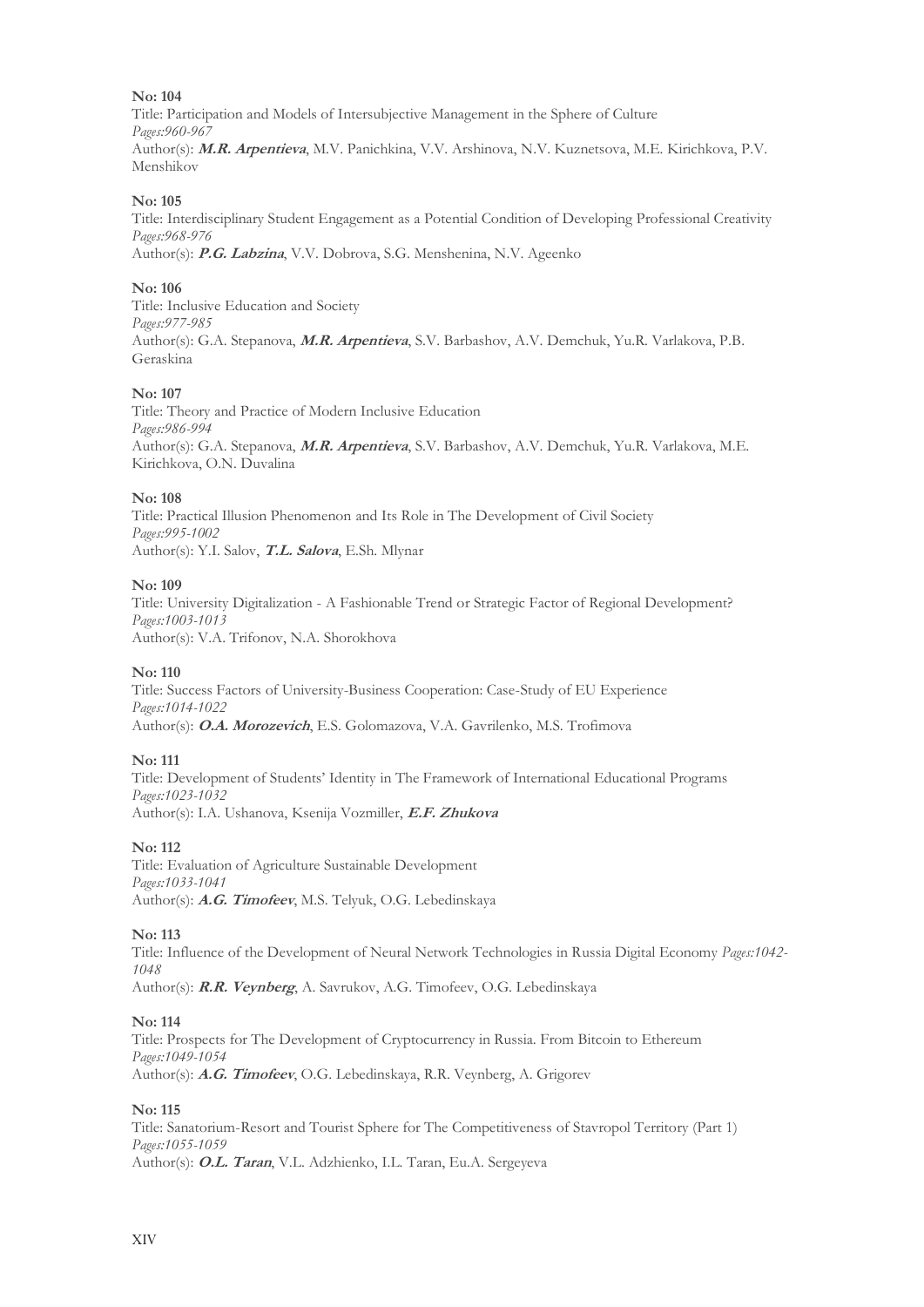Title: Participation and Models of Intersubjective Management in the Sphere of Culture *Pages:960-967*  Author(s): **M.R. Arpentieva**, M.V. Panichkina, V.V. Arshinova, N.V. Kuznetsova, M.E. Kirichkova, P.V. Menshikov

# **No: 105**

Title: Interdisciplinary Student Engagement as a Potential Condition of Developing Professional Creativity *Pages:968-976*  Author(s): **P.G. Labzina**, V.V. Dobrova, S.G. Menshenina, N.V. Ageenko

#### **No: 106**

Title: Inclusive Education and Society *Pages:977-985* Author(s): G.A. Stepanova, **M.R. Arpentieva**, S.V. Barbashov, A.V. Demchuk, Yu.R. Varlakova, P.B. Geraskina

#### **No: 107**

Title: Theory and Practice of Modern Inclusive Education *Pages:986-994*  Author(s): G.A. Stepanova, **M.R. Arpentieva**, S.V. Barbashov, A.V. Demchuk, Yu.R. Varlakova, M.E. Kirichkova, O.N. Duvalina

#### **No: 108**

Title: Practical Illusion Phenomenon and Its Role in The Development of Civil Society *Pages:995-1002*  Author(s): Y.I. Salov, **T.L. Salova**, E.Sh. Mlynar

#### **No: 109**

Title: University Digitalization - A Fashionable Trend or Strategic Factor of Regional Development? *Pages:1003-1013*  Author(s): V.A. Trifonov, N.A. Shorokhova

#### **No: 110**

Title: Success Factors of University-Business Cooperation: Case-Study of EU Experience *Pages:1014-1022*  Author(s): **O.A. Morozevich**, E.S. Golomazova, V.A. Gavrilenko, M.S. Trofimova

# **No: 111**

Title: Development of Students' Identity in The Framework of International Educational Programs *Pages:1023-1032*  Author(s): I.A. Ushanova, Ksenija Vozmiller, **E.F. Zhukova**

# **No: 112**

Title: Evaluation of Agriculture Sustainable Development *Pages:1033-1041*  Author(s): **A.G. Timofeev**, M.S. Telyuk, O.G. Lebedinskaya

# **No: 113**

Title: Influence of the Development of Neural Network Technologies in Russia Digital Economy *Pages:1042- 1048*  Author(s): **R.R. Veynberg**, A. Savrukov, A.G. Timofeev, O.G. Lebedinskaya

#### **No: 114**

Title: Prospects for The Development of Cryptocurrency in Russia. From Bitcoin to Ethereum *Pages:1049-1054*  Author(s): **A.G. Timofeev**, O.G. Lebedinskaya, R.R. Veynberg, A. Grigorev

#### **No: 115**

Title: Sanatorium-Resort and Tourist Sphere for The Competitiveness of Stavropol Territory (Part 1) *Pages:1055-1059*  Author(s): **O.L. Taran**, V.L. Adzhienko, I.L. Taran, Eu.A. Sergeyeva